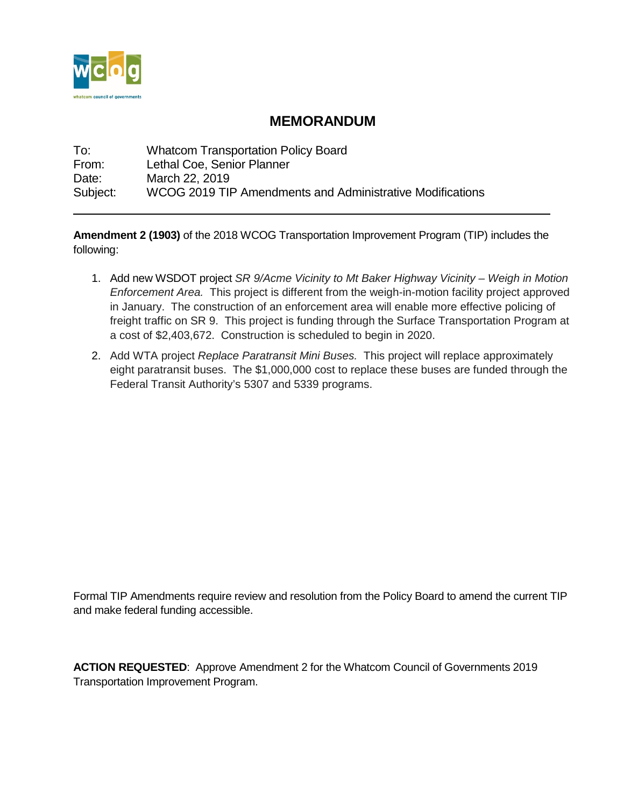

# **MEMORANDUM**

To: Whatcom Transportation Policy Board<br>
From: Lethal Coe. Senior Planner Lethal Coe, Senior Planner Date: March 22, 2019 Subject: WCOG 2019 TIP Amendments and Administrative Modifications

**Amendment 2 (1903)** of the 2018 WCOG Transportation Improvement Program (TIP) includes the following:

- 1. Add new WSDOT project *SR 9/Acme Vicinity to Mt Baker Highway Vicinity – Weigh in Motion Enforcement Area.* This project is different from the weigh-in-motion facility project approved in January. The construction of an enforcement area will enable more effective policing of freight traffic on SR 9. This project is funding through the Surface Transportation Program at a cost of \$2,403,672. Construction is scheduled to begin in 2020.
- 2. Add WTA project *Replace Paratransit Mini Buses.* This project will replace approximately eight paratransit buses. The \$1,000,000 cost to replace these buses are funded through the Federal Transit Authority's 5307 and 5339 programs.

Formal TIP Amendments require review and resolution from the Policy Board to amend the current TIP and make federal funding accessible.

**ACTION REQUESTED**: Approve Amendment 2 for the Whatcom Council of Governments 2019 Transportation Improvement Program.